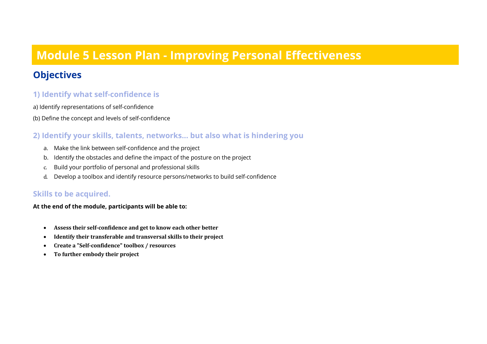### **Module 5 Lesson Plan - Improving Personal Effectiveness**

### **Objectives**

#### **1) Identify what self-confidence is**

a) Identify representations of self-confidence

(b) Define the concept and levels of self-confidence

#### **2) Identify your skills, talents, networks... but also what is hindering you**

- a. Make the link between self-confidence and the project
- b. Identify the obstacles and define the impact of the posture on the project
- c. Build your portfolio of personal and professional skills
- d. Develop a toolbox and identify resource persons/networks to build self-confidence

#### **Skills to be acquired.**

**At the end of the module, participants will be able to:**

- Assess their self-confidence and get to know each other better
- **Identify their transferable and transversal skills to their project**
- **Create a "Self-confidence" toolbox / resources**
- To further embody their project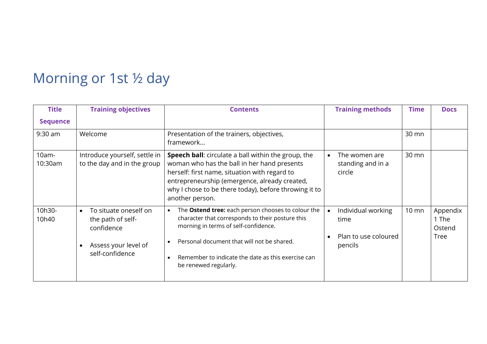## Morning or 1st ½ day

| <b>Title</b>        | <b>Training objectives</b>                                                                                       | <b>Contents</b>                                                                                                                                                                                                                                                                                              | <b>Training methods</b>                                       | <b>Time</b>     | <b>Docs</b>                                |
|---------------------|------------------------------------------------------------------------------------------------------------------|--------------------------------------------------------------------------------------------------------------------------------------------------------------------------------------------------------------------------------------------------------------------------------------------------------------|---------------------------------------------------------------|-----------------|--------------------------------------------|
| <b>Sequence</b>     |                                                                                                                  |                                                                                                                                                                                                                                                                                                              |                                                               |                 |                                            |
| 9:30 am             | Welcome                                                                                                          | Presentation of the trainers, objectives,<br>framework                                                                                                                                                                                                                                                       |                                                               | 30 mn           |                                            |
| $10am -$<br>10:30am | Introduce yourself, settle in<br>to the day and in the group                                                     | <b>Speech ball:</b> circulate a ball within the group, the<br>woman who has the ball in her hand presents<br>herself: first name, situation with regard to<br>entrepreneurship (emergence, already created,<br>why I chose to be there today), before throwing it to<br>another person.                      | The women are<br>standing and in a<br>circle                  | 30 mn           |                                            |
| 10h30-<br>10h40     | To situate oneself on<br>$\bullet$<br>the path of self-<br>confidence<br>Assess your level of<br>self-confidence | The <b>Ostend tree:</b> each person chooses to colour the<br>$\bullet$<br>character that corresponds to their posture this<br>morning in terms of self-confidence.<br>Personal document that will not be shared.<br>$\bullet$<br>Remember to indicate the date as this exercise can<br>be renewed regularly. | Individual working<br>time<br>Plan to use coloured<br>pencils | $10 \text{ mm}$ | Appendix<br>1 The<br>Ostend<br><b>Tree</b> |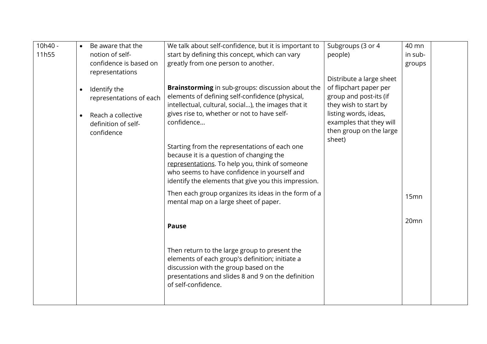| 10h40 -<br>11h55 | $\bullet$ | Be aware that the<br>notion of self-      | We talk about self-confidence, but it is important to<br>start by defining this concept, which can vary                                                                                                                                             | Subgroups (3 or 4<br>people)                       | 40 mn<br>in sub- |  |
|------------------|-----------|-------------------------------------------|-----------------------------------------------------------------------------------------------------------------------------------------------------------------------------------------------------------------------------------------------------|----------------------------------------------------|------------------|--|
|                  |           | confidence is based on<br>representations | greatly from one person to another.                                                                                                                                                                                                                 |                                                    | groups           |  |
|                  |           |                                           | Brainstorming in sub-groups: discussion about the                                                                                                                                                                                                   | Distribute a large sheet<br>of flipchart paper per |                  |  |
|                  | $\bullet$ | Identify the<br>representations of each   | elements of defining self-confidence (physical,                                                                                                                                                                                                     | group and post-its (if                             |                  |  |
|                  | $\bullet$ | Reach a collective                        | intellectual, cultural, social), the images that it<br>gives rise to, whether or not to have self-                                                                                                                                                  | they wish to start by<br>listing words, ideas,     |                  |  |
|                  |           | definition of self-<br>confidence         | confidence                                                                                                                                                                                                                                          | examples that they will<br>then group on the large |                  |  |
|                  |           |                                           | Starting from the representations of each one<br>because it is a question of changing the<br>representations. To help you, think of someone<br>who seems to have confidence in yourself and<br>identify the elements that give you this impression. | sheet)                                             |                  |  |
|                  |           |                                           | Then each group organizes its ideas in the form of a<br>mental map on a large sheet of paper.                                                                                                                                                       |                                                    | 15mn             |  |
|                  |           |                                           | <b>Pause</b>                                                                                                                                                                                                                                        |                                                    | 20mn             |  |
|                  |           |                                           | Then return to the large group to present the<br>elements of each group's definition; initiate a<br>discussion with the group based on the<br>presentations and slides 8 and 9 on the definition<br>of self-confidence.                             |                                                    |                  |  |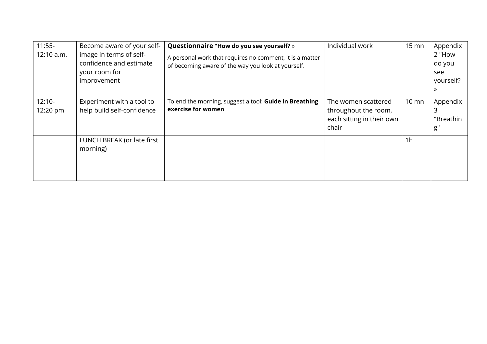| $11:55-$<br>12:10 a.m. | Become aware of your self-<br>image in terms of self-<br>confidence and estimate<br>your room for<br>improvement | Questionnaire "How do you see yourself? »<br>A personal work that requires no comment, it is a matter<br>of becoming aware of the way you look at yourself. | Individual work                                                                   | $15 \text{ mm}$ | Appendix<br>2 "How<br>do you<br>see<br>yourself?<br>$\gg$ |
|------------------------|------------------------------------------------------------------------------------------------------------------|-------------------------------------------------------------------------------------------------------------------------------------------------------------|-----------------------------------------------------------------------------------|-----------------|-----------------------------------------------------------|
| $12:10-$<br>12:20 pm   | Experiment with a tool to<br>help build self-confidence                                                          | To end the morning, suggest a tool: Guide in Breathing<br>exercise for women                                                                                | The women scattered<br>throughout the room,<br>each sitting in their own<br>chair | $10 \text{ mm}$ | Appendix<br>"Breathin<br>g''                              |
|                        | LUNCH BREAK (or late first<br>morning)                                                                           |                                                                                                                                                             |                                                                                   | 1 <sub>h</sub>  |                                                           |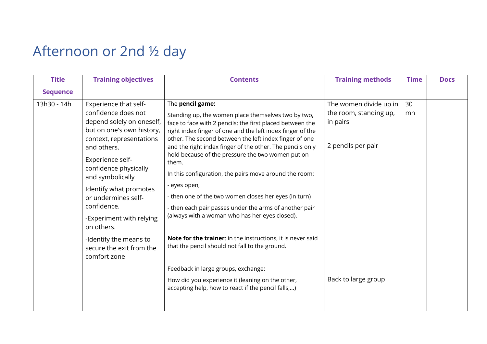# Afternoon or 2nd ½ day

| <b>Title</b>    | <b>Training objectives</b>                                                                                                                                                                                                                                                                                                                                                                         | <b>Contents</b>                                                                                                                                                                                                                                                                                                                                                                                                                                                                                                                                                                                                                                                                                                                                                                                                                                                                                          | <b>Training methods</b>                                                                                   | <b>Time</b> | <b>Docs</b> |
|-----------------|----------------------------------------------------------------------------------------------------------------------------------------------------------------------------------------------------------------------------------------------------------------------------------------------------------------------------------------------------------------------------------------------------|----------------------------------------------------------------------------------------------------------------------------------------------------------------------------------------------------------------------------------------------------------------------------------------------------------------------------------------------------------------------------------------------------------------------------------------------------------------------------------------------------------------------------------------------------------------------------------------------------------------------------------------------------------------------------------------------------------------------------------------------------------------------------------------------------------------------------------------------------------------------------------------------------------|-----------------------------------------------------------------------------------------------------------|-------------|-------------|
| <b>Sequence</b> |                                                                                                                                                                                                                                                                                                                                                                                                    |                                                                                                                                                                                                                                                                                                                                                                                                                                                                                                                                                                                                                                                                                                                                                                                                                                                                                                          |                                                                                                           |             |             |
| 13h30 - 14h     | Experience that self-<br>confidence does not<br>depend solely on oneself,<br>but on one's own history,<br>context, representations<br>and others.<br>Experience self-<br>confidence physically<br>and symbolically<br>Identify what promotes<br>or undermines self-<br>confidence.<br>-Experiment with relying<br>on others.<br>-Identify the means to<br>secure the exit from the<br>comfort zone | The pencil game:<br>Standing up, the women place themselves two by two,<br>face to face with 2 pencils: the first placed between the<br>right index finger of one and the left index finger of the<br>other. The second between the left index finger of one<br>and the right index finger of the other. The pencils only<br>hold because of the pressure the two women put on<br>them.<br>In this configuration, the pairs move around the room:<br>- eyes open,<br>- then one of the two women closes her eyes (in turn)<br>- then each pair passes under the arms of another pair<br>(always with a woman who has her eyes closed).<br>Note for the trainer: in the instructions, it is never said<br>that the pencil should not fall to the ground.<br>Feedback in large groups, exchange:<br>How did you experience it (leaning on the other,<br>accepting help, how to react if the pencil falls,) | The women divide up in<br>the room, standing up,<br>in pairs<br>2 pencils per pair<br>Back to large group | 30<br>mn    |             |
|                 |                                                                                                                                                                                                                                                                                                                                                                                                    |                                                                                                                                                                                                                                                                                                                                                                                                                                                                                                                                                                                                                                                                                                                                                                                                                                                                                                          |                                                                                                           |             |             |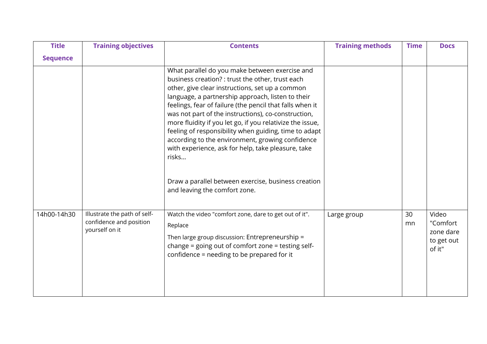| <b>Title</b>    | <b>Training objectives</b>                                                | <b>Contents</b>                                                                                                                                                                                                                                                                                                                                                                                                                                                                                                                                                                                                               | <b>Training methods</b> | <b>Time</b> | <b>Docs</b>                                            |
|-----------------|---------------------------------------------------------------------------|-------------------------------------------------------------------------------------------------------------------------------------------------------------------------------------------------------------------------------------------------------------------------------------------------------------------------------------------------------------------------------------------------------------------------------------------------------------------------------------------------------------------------------------------------------------------------------------------------------------------------------|-------------------------|-------------|--------------------------------------------------------|
| <b>Sequence</b> |                                                                           |                                                                                                                                                                                                                                                                                                                                                                                                                                                                                                                                                                                                                               |                         |             |                                                        |
|                 |                                                                           | What parallel do you make between exercise and<br>business creation? : trust the other, trust each<br>other, give clear instructions, set up a common<br>language, a partnership approach, listen to their<br>feelings, fear of failure (the pencil that falls when it<br>was not part of the instructions), co-construction,<br>more fluidity if you let go, if you relativize the issue,<br>feeling of responsibility when guiding, time to adapt<br>according to the environment, growing confidence<br>with experience, ask for help, take pleasure, take<br>risks<br>Draw a parallel between exercise, business creation |                         |             |                                                        |
|                 |                                                                           | and leaving the comfort zone.                                                                                                                                                                                                                                                                                                                                                                                                                                                                                                                                                                                                 |                         |             |                                                        |
| 14h00-14h30     | Illustrate the path of self-<br>confidence and position<br>yourself on it | Watch the video "comfort zone, dare to get out of it".<br>Replace<br>Then large group discussion: Entrepreneurship =<br>change = going out of comfort zone = testing self-<br>confidence = needing to be prepared for it                                                                                                                                                                                                                                                                                                                                                                                                      | Large group             | 30<br>mn    | Video<br>"Comfort<br>zone dare<br>to get out<br>of it" |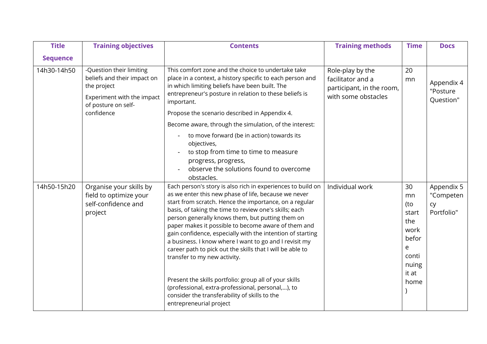| <b>Title</b>    | <b>Training objectives</b>                                                                                                                | <b>Contents</b>                                                                                                                                                                                                                                                                                                                                                                                                                                                                                                                                                                                                                                                                                                                                                    | <b>Training methods</b>                                                                   | <b>Time</b>                                                                              | <b>Docs</b>                                 |
|-----------------|-------------------------------------------------------------------------------------------------------------------------------------------|--------------------------------------------------------------------------------------------------------------------------------------------------------------------------------------------------------------------------------------------------------------------------------------------------------------------------------------------------------------------------------------------------------------------------------------------------------------------------------------------------------------------------------------------------------------------------------------------------------------------------------------------------------------------------------------------------------------------------------------------------------------------|-------------------------------------------------------------------------------------------|------------------------------------------------------------------------------------------|---------------------------------------------|
| <b>Sequence</b> |                                                                                                                                           |                                                                                                                                                                                                                                                                                                                                                                                                                                                                                                                                                                                                                                                                                                                                                                    |                                                                                           |                                                                                          |                                             |
| 14h30-14h50     | -Question their limiting<br>beliefs and their impact on<br>the project<br>Experiment with the impact<br>of posture on self-<br>confidence | This comfort zone and the choice to undertake take<br>place in a context, a history specific to each person and<br>in which limiting beliefs have been built. The<br>entrepreneur's posture in relation to these beliefs is<br>important.<br>Propose the scenario described in Appendix 4.                                                                                                                                                                                                                                                                                                                                                                                                                                                                         | Role-play by the<br>facilitator and a<br>participant, in the room,<br>with some obstacles | 20<br>mn                                                                                 | Appendix 4<br>"Posture<br>Question"         |
|                 |                                                                                                                                           | Become aware, through the simulation, of the interest:                                                                                                                                                                                                                                                                                                                                                                                                                                                                                                                                                                                                                                                                                                             |                                                                                           |                                                                                          |                                             |
|                 |                                                                                                                                           | to move forward (be in action) towards its<br>objectives,<br>to stop from time to time to measure<br>progress, progress,<br>observe the solutions found to overcome<br>obstacles.                                                                                                                                                                                                                                                                                                                                                                                                                                                                                                                                                                                  |                                                                                           |                                                                                          |                                             |
| 14h50-15h20     | Organise your skills by<br>field to optimize your<br>self-confidence and<br>project                                                       | Each person's story is also rich in experiences to build on<br>as we enter this new phase of life, because we never<br>start from scratch. Hence the importance, on a regular<br>basis, of taking the time to review one's skills; each<br>person generally knows them, but putting them on<br>paper makes it possible to become aware of them and<br>gain confidence, especially with the intention of starting<br>a business. I know where I want to go and I revisit my<br>career path to pick out the skills that I will be able to<br>transfer to my new activity.<br>Present the skills portfolio: group all of your skills<br>(professional, extra-professional, personal,), to<br>consider the transferability of skills to the<br>entrepreneurial project | Individual work                                                                           | 30<br>mn<br>(to<br>start<br>the<br>work<br>befor<br>e<br>conti<br>nuing<br>it at<br>home | Appendix 5<br>"Competen<br>cy<br>Portfolio" |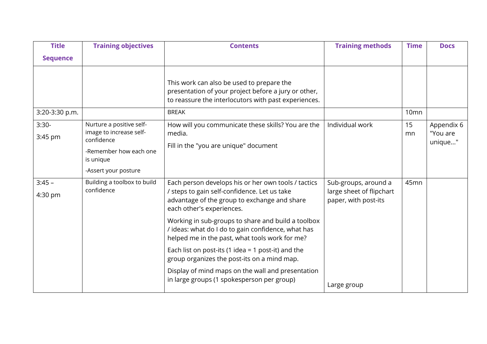| <b>Title</b>        | <b>Training objectives</b>                                                                               | <b>Contents</b>                                                                                                                                                                  | <b>Training methods</b>                                                  | <b>Time</b>      | <b>Docs</b>                       |
|---------------------|----------------------------------------------------------------------------------------------------------|----------------------------------------------------------------------------------------------------------------------------------------------------------------------------------|--------------------------------------------------------------------------|------------------|-----------------------------------|
| <b>Sequence</b>     |                                                                                                          |                                                                                                                                                                                  |                                                                          |                  |                                   |
|                     |                                                                                                          | This work can also be used to prepare the<br>presentation of your project before a jury or other,<br>to reassure the interlocutors with past experiences.<br><b>BREAK</b>        |                                                                          |                  |                                   |
| 3:20-3:30 p.m.      |                                                                                                          |                                                                                                                                                                                  |                                                                          | 10 <sub>mn</sub> |                                   |
| $3:30-$<br>3:45 pm  | Nurture a positive self-<br>image to increase self-<br>confidence<br>-Remember how each one<br>is unique | How will you communicate these skills? You are the<br>media.<br>Fill in the "you are unique" document                                                                            | Individual work                                                          | 15<br>mn         | Appendix 6<br>"You are<br>unique" |
|                     | -Assert your posture                                                                                     |                                                                                                                                                                                  |                                                                          |                  |                                   |
| $3:45 -$<br>4:30 pm | Building a toolbox to build<br>confidence                                                                | Each person develops his or her own tools / tactics<br>/ steps to gain self-confidence. Let us take<br>advantage of the group to exchange and share<br>each other's experiences. | Sub-groups, around a<br>large sheet of flipchart<br>paper, with post-its | 45mn             |                                   |
|                     |                                                                                                          | Working in sub-groups to share and build a toolbox<br>/ ideas: what do I do to gain confidence, what has<br>helped me in the past, what tools work for me?                       |                                                                          |                  |                                   |
|                     |                                                                                                          | Each list on post-its (1 idea = 1 post-it) and the<br>group organizes the post-its on a mind map.                                                                                |                                                                          |                  |                                   |
|                     |                                                                                                          | Display of mind maps on the wall and presentation<br>in large groups (1 spokesperson per group)                                                                                  | Large group                                                              |                  |                                   |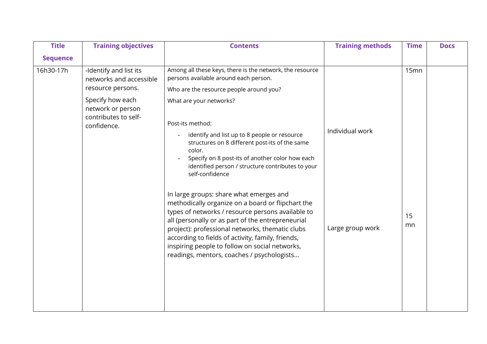| <b>Title</b>    | <b>Training objectives</b>                                    | <b>Contents</b>                                                                                                                                                                                                                                                                                                                                                                                                | <b>Training methods</b> | <b>Time</b> | <b>Docs</b> |
|-----------------|---------------------------------------------------------------|----------------------------------------------------------------------------------------------------------------------------------------------------------------------------------------------------------------------------------------------------------------------------------------------------------------------------------------------------------------------------------------------------------------|-------------------------|-------------|-------------|
| <b>Sequence</b> |                                                               |                                                                                                                                                                                                                                                                                                                                                                                                                |                         |             |             |
| 16h30-17h       | -Identify and list its<br>networks and accessible             | Among all these keys, there is the network, the resource<br>persons available around each person.                                                                                                                                                                                                                                                                                                              |                         | 15mn        |             |
|                 | resource persons.                                             | Who are the resource people around you?                                                                                                                                                                                                                                                                                                                                                                        |                         |             |             |
|                 | Specify how each<br>network or person<br>contributes to self- | What are your networks?                                                                                                                                                                                                                                                                                                                                                                                        |                         |             |             |
|                 | confidence.                                                   | Post-its method:                                                                                                                                                                                                                                                                                                                                                                                               | Individual work         |             |             |
|                 |                                                               | identify and list up to 8 people or resource<br>structures on 8 different post-its of the same<br>color.<br>Specify on 8 post-its of another color how each<br>identified person / structure contributes to your<br>self-confidence                                                                                                                                                                            |                         |             |             |
|                 |                                                               | In large groups: share what emerges and<br>methodically organize on a board or flipchart the<br>types of networks / resource persons available to<br>all (personally or as part of the entrepreneurial<br>project): professional networks, thematic clubs<br>according to fields of activity, family, friends,<br>inspiring people to follow on social networks,<br>readings, mentors, coaches / psychologists | Large group work        | 15<br>mn    |             |
|                 |                                                               |                                                                                                                                                                                                                                                                                                                                                                                                                |                         |             |             |